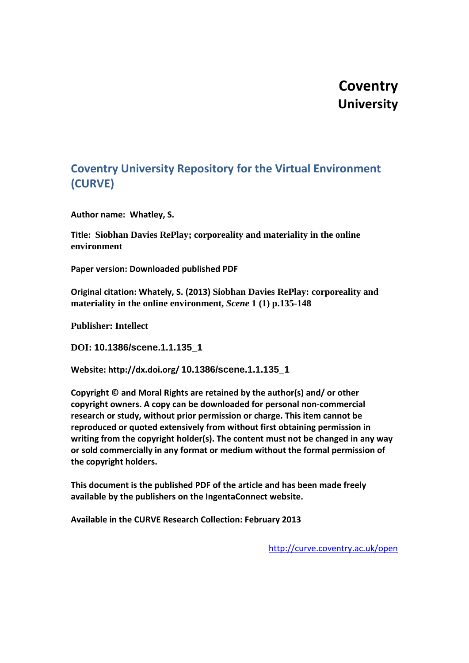## **Coventry University**

### **Coventry University Repository for the Virtual Environment (CURVE)**

**Author name: Whatley, S.**

**Title: Siobhan Davies RePlay; corporeality and materiality in the online environment**

**Paper version: Downloaded published PDF**

**Original citation: Whately, S. (2013) Siobhan Davies RePlay: corporeality and materiality in the online environment,** *Scene* **1 (1) p.135-148**

**Publisher: Intellect**

**DOI: 10.1386/scene.1.1.135\_1**

**Website: http://dx.doi.org/ 10.1386/scene.1.1.135\_1**

**Copyright © and Moral Rights are retained by the author(s) and/ or other copyright owners. A copy can be downloaded for personal non-commercial research or study, without prior permission or charge. This item cannot be reproduced or quoted extensively from without first obtaining permission in writing from the copyright holder(s). The content must not be changed in any way or sold commercially in any format or medium without the formal permission of the copyright holders.**

**This document is the published PDF of the article and has been made freely available by the publishers on the IngentaConnect website.** 

**Available in the CURVE Research Collection: February 2013**

<http://curve.coventry.ac.uk/open>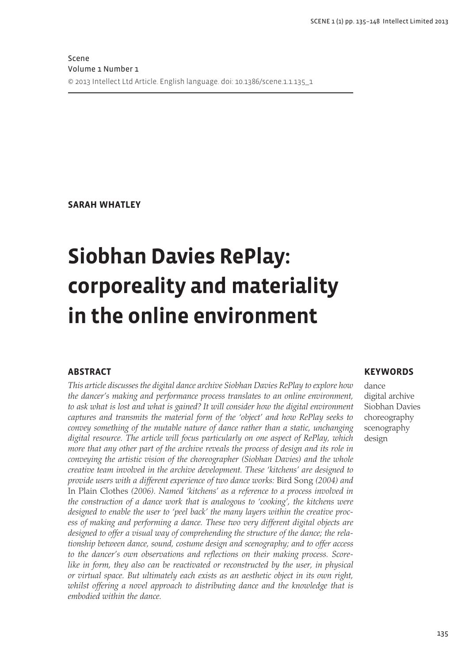**SARAH WHATLEY** 

# **Siobhan Davies RePlay:** corporeality and materiality in the online environment

#### **ABSTRACT**

This article discusses the digital dance archive Siobhan Davies RePlay to explore how the dancer's making and performance process translates to an online environment, to ask what is lost and what is gained? It will consider how the digital environment captures and transmits the material form of the 'object' and how RePlay seeks to convey something of the mutable nature of dance rather than a static, unchanging digital resource. The article will focus particularly on one aspect of RePlay, which more that any other part of the archive reveals the process of design and its role in conveying the artistic vision of the choreographer (Siobhan Davies) and the whole creative team involved in the archive development. These 'kitchens' are designed to provide users with a different experience of two dance works: Bird Song (2004) and In Plain Clothes (2006). Named 'kitchens' as a reference to a process involved in the construction of a dance work that is analogous to 'cooking', the kitchens were designed to enable the user to 'peel back' the many layers within the creative process of making and performing a dance. These two very different digital objects are designed to offer a visual way of comprehending the structure of the dance; the relationship between dance, sound, costume design and scenography; and to offer access to the dancer's own observations and reflections on their making process. Scorelike in form, they also can be reactivated or reconstructed by the user, in physical or virtual space. But ultimately each exists as an aesthetic object in its own right, whilst offering a novel approach to distributing dance and the knowledge that is embodied within the dance.

#### **KEYWORDS**

dance digital archive Siobhan Davies choreography scenography design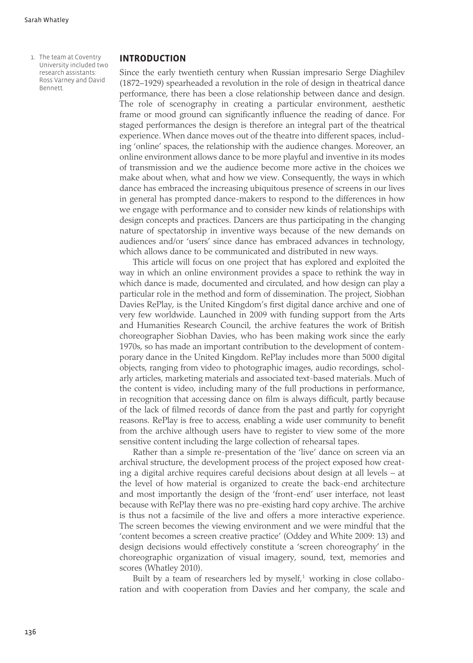1. The team at Coventry University included two research assistants: Ross Varney and David Bennett.

#### **INTRODUCTION**

Since the early twentieth century when Russian impresario Serge Diaghilev (1872–1929) spearheaded a revolution in the role of design in theatrical dance performance, there has been a close relationship between dance and design. The role of scenography in creating a particular environment, aesthetic frame or mood ground can significantly influence the reading of dance. For staged performances the design is therefore an integral part of the theatrical experience. When dance moves out of the theatre into different spaces, including 'online' spaces, the relationship with the audience changes. Moreover, an online environment allows dance to be more playful and inventive in its modes of transmission and we the audience become more active in the choices we make about when, what and how we view. Consequently, the ways in which dance has embraced the increasing ubiquitous presence of screens in our lives in general has prompted dance-makers to respond to the differences in how we engage with performance and to consider new kinds of relationships with design concepts and practices. Dancers are thus participating in the changing nature of spectatorship in inventive ways because of the new demands on audiences and/or 'users' since dance has embraced advances in technology, which allows dance to be communicated and distributed in new ways.

This article will focus on one project that has explored and exploited the way in which an online environment provides a space to rethink the way in which dance is made, documented and circulated, and how design can play a particular role in the method and form of dissemination. The project, Siobhan Davies RePlay, is the United Kingdom's first digital dance archive and one of very few worldwide. Launched in 2009 with funding support from the Arts and Humanities Research Council, the archive features the work of British choreographer Siobhan Davies, who has been making work since the early 1970s, so has made an important contribution to the development of contemporary dance in the United Kingdom. RePlay includes more than 5000 digital objects, ranging from video to photographic images, audio recordings, scholarly articles, marketing materials and associated text-based materials. Much of the content is video, including many of the full productions in performance, in recognition that accessing dance on film is always difficult, partly because of the lack of filmed records of dance from the past and partly for copyright reasons. RePlay is free to access, enabling a wide user community to benefit from the archive although users have to register to view some of the more sensitive content including the large collection of rehearsal tapes.

Rather than a simple re-presentation of the 'live' dance on screen via an archival structure, the development process of the project exposed how creating a digital archive requires careful decisions about design at all levels – at the level of how material is organized to create the back-end architecture and most importantly the design of the 'front-end' user interface, not least because with RePlay there was no pre-existing hard copy archive. The archive is thus not a facsimile of the live and offers a more interactive experience. The screen becomes the viewing environment and we were mindful that the 'content becomes a screen creative practice' (Oddey and White 2009: 13) and design decisions would effectively constitute a 'screen choreography' in the choreographic organization of visual imagery, sound, text, memories and scores (Whatley 2010).

Built by a team of researchers led by myself,<sup>1</sup> working in close collaboration and with cooperation from Davies and her company, the scale and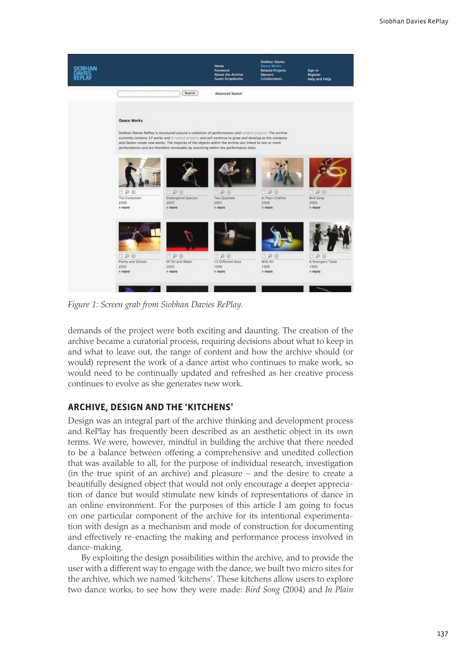

Figure 1: Screen grab from Siobhan Davies RePlay.

demands of the project were both exciting and daunting. The creation of the archive became a curatorial process, requiring decisions about what to keep in and what to leave out, the range of content and how the archive should (or would) represent the work of a dance artist who continues to make work, so would need to be continually updated and refreshed as her creative process continues to evolve as she generates new work.

#### ARCHIVE, DESIGN AND THE 'KITCHENS'

Design was an integral part of the archive thinking and development process and RePlay has frequently been described as an aesthetic object in its own terms. We were, however, mindful in building the archive that there needed to be a balance between offering a comprehensive and unedited collection that was available to all, for the purpose of individual research, investigation (in the true spirit of an archive) and pleasure – and the desire to create a beautifully designed object that would not only encourage a deeper appreciation of dance but would stimulate new kinds of representations of dance in an online environment. For the purposes of this article I am going to focus on one particular component of the archive for its intentional experimentation with design as a mechanism and mode of construction for documenting and effectively re-enacting the making and performance process involved in dance-making.

By exploiting the design possibilities within the archive, and to provide the user with a different way to engage with the dance, we built two micro sites for the archive, which we named 'kitchens'. These kitchens allow users to explore two dance works, to see how they were made: *Bird Song* (2004) and *In Plain*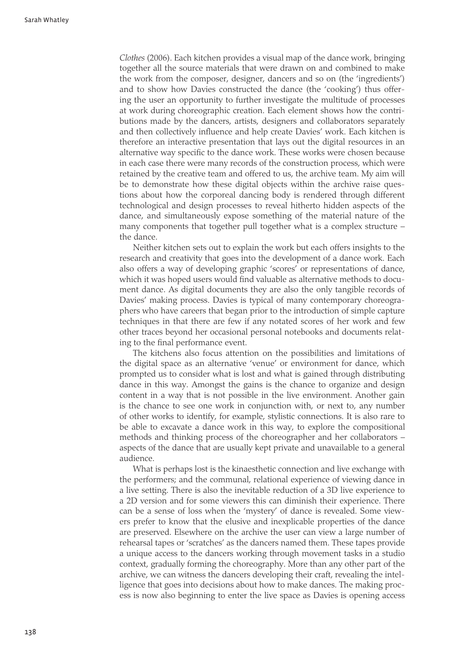Clothes (2006). Each kitchen provides a visual map of the dance work, bringing together all the source materials that were drawn on and combined to make the work from the composer, designer, dancers and so on (the 'ingredients') and to show how Davies constructed the dance (the 'cooking') thus offering the user an opportunity to further investigate the multitude of processes at work during choreographic creation. Each element shows how the contributions made by the dancers, artists, designers and collaborators separately and then collectively influence and help create Davies' work. Each kitchen is therefore an interactive presentation that lays out the digital resources in an alternative way specific to the dance work. These works were chosen because in each case there were many records of the construction process, which were retained by the creative team and offered to us, the archive team. My aim will be to demonstrate how these digital objects within the archive raise questions about how the corporeal dancing body is rendered through different technological and design processes to reveal hitherto hidden aspects of the dance, and simultaneously expose something of the material nature of the many components that together pull together what is a complex structure the dance.

Neither kitchen sets out to explain the work but each offers insights to the research and creativity that goes into the development of a dance work. Each also offers a way of developing graphic 'scores' or representations of dance, which it was hoped users would find valuable as alternative methods to document dance. As digital documents they are also the only tangible records of Davies' making process. Davies is typical of many contemporary choreographers who have careers that began prior to the introduction of simple capture techniques in that there are few if any notated scores of her work and few other traces beyond her occasional personal notebooks and documents relating to the final performance event.

The kitchens also focus attention on the possibilities and limitations of the digital space as an alternative 'venue' or environment for dance, which prompted us to consider what is lost and what is gained through distributing dance in this way. Amongst the gains is the chance to organize and design content in a way that is not possible in the live environment. Another gain is the chance to see one work in conjunction with, or next to, any number of other works to identify, for example, stylistic connections. It is also rare to be able to excavate a dance work in this way, to explore the compositional methods and thinking process of the choreographer and her collaborators – aspects of the dance that are usually kept private and unavailable to a general audience.

What is perhaps lost is the kinaesthetic connection and live exchange with the performers; and the communal, relational experience of viewing dance in a live setting. There is also the inevitable reduction of a 3D live experience to a 2D version and for some viewers this can diminish their experience. There can be a sense of loss when the 'mystery' of dance is revealed. Some viewers prefer to know that the elusive and inexplicable properties of the dance are preserved. Elsewhere on the archive the user can view a large number of rehearsal tapes or 'scratches' as the dancers named them. These tapes provide a unique access to the dancers working through movement tasks in a studio context, gradually forming the choreography. More than any other part of the archive, we can witness the dancers developing their craft, revealing the intelligence that goes into decisions about how to make dances. The making process is now also beginning to enter the live space as Davies is opening access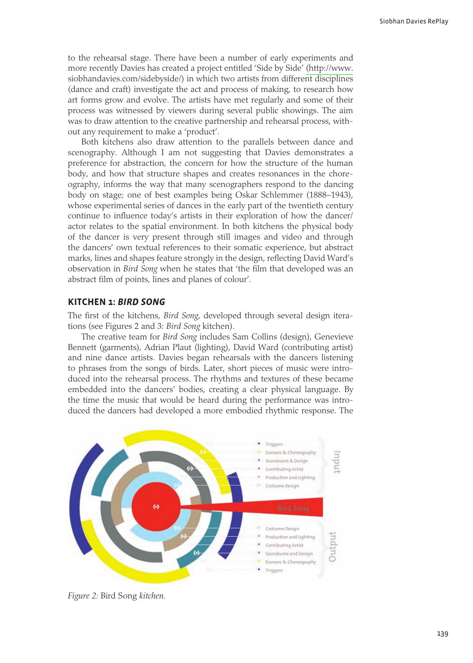to the rehearsal stage. There have been a number of early experiments and more recently Davies has created a project entitled 'Side by Side' (http://www. siobhandavies.com/sidebyside/) in which two artists from different disciplines (dance and craft) investigate the act and process of making, to research how art forms grow and evolve. The artists have met regularly and some of their process was witnessed by viewers during several public showings. The aim was to draw attention to the creative partnership and rehearsal process, without any requirement to make a 'product'.

Both kitchens also draw attention to the parallels between dance and scenography. Although I am not suggesting that Davies demonstrates a preference for abstraction, the concern for how the structure of the human body, and how that structure shapes and creates resonances in the choreography, informs the way that many scenographers respond to the dancing body on stage; one of best examples being Oskar Schlemmer (1888–1943), whose experimental series of dances in the early part of the twentieth century continue to influence today's artists in their exploration of how the dancer/ actor relates to the spatial environment. In both kitchens the physical body of the dancer is very present through still images and video and through the dancers' own textual references to their somatic experience, but abstract marks, lines and shapes feature strongly in the design, reflecting David Ward's observation in *Bird Song* when he states that 'the film that developed was an abstract film of points, lines and planes of colour'.

#### **KITCHEN 1: BIRD SONG**

The first of the kitchens, Bird Song, developed through several design iterations (see Figures 2 and 3: Bird Song kitchen).

The creative team for *Bird Song* includes Sam Collins (design), Genevieve Bennett (garments), Adrian Plaut (lighting), David Ward (contributing artist) and nine dance artists. Davies began rehearsals with the dancers listening to phrases from the songs of birds. Later, short pieces of music were introduced into the rehearsal process. The rhythms and textures of these became embedded into the dancers' bodies, creating a clear physical language. By the time the music that would be heard during the performance was introduced the dancers had developed a more embodied rhythmic response. The



Figure 2: Bird Song kitchen.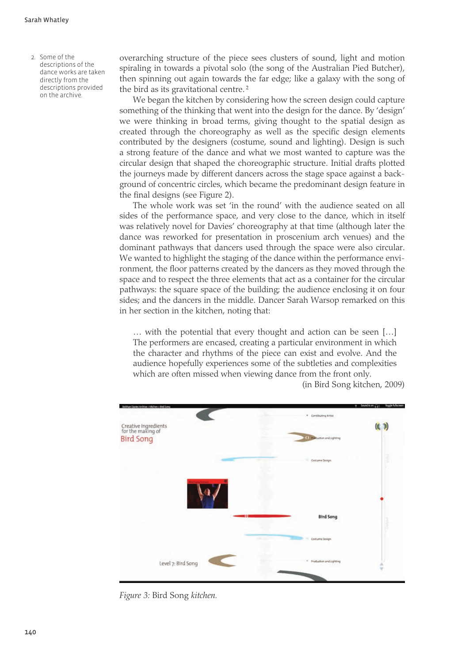2. Some of the descriptions of the dance works are taken directly from the descriptions provided on the archive.

overarching structure of the piece sees clusters of sound, light and motion spiraling in towards a pivotal solo (the song of the Australian Pied Butcher), then spinning out again towards the far edge; like a galaxy with the song of the bird as its gravitational centre.<sup>2</sup>

We began the kitchen by considering how the screen design could capture something of the thinking that went into the design for the dance. By 'design' we were thinking in broad terms, giving thought to the spatial design as created through the choreography as well as the specific design elements contributed by the designers (costume, sound and lighting). Design is such a strong feature of the dance and what we most wanted to capture was the circular design that shaped the choreographic structure. Initial drafts plotted the journeys made by different dancers across the stage space against a background of concentric circles, which became the predominant design feature in the final designs (see Figure 2).

The whole work was set 'in the round' with the audience seated on all sides of the performance space, and very close to the dance, which in itself was relatively novel for Davies' choreography at that time (although later the dance was reworked for presentation in proscenium arch venues) and the dominant pathways that dancers used through the space were also circular. We wanted to highlight the staging of the dance within the performance environment, the floor patterns created by the dancers as they moved through the space and to respect the three elements that act as a container for the circular pathways: the square space of the building; the audience enclosing it on four sides; and the dancers in the middle. Dancer Sarah Warsop remarked on this in her section in the kitchen, noting that:

... with the potential that every thought and action can be seen [...] The performers are encased, creating a particular environment in which the character and rhythms of the piece can exist and evolve. And the audience hopefully experiences some of the subtleties and complexities which are often missed when viewing dance from the front only.



(in Bird Song kitchen, 2009)

Figure 3: Bird Song kitchen.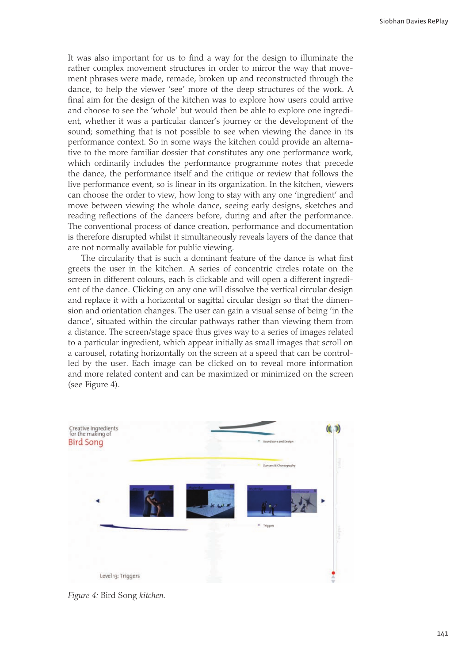It was also important for us to find a way for the design to illuminate the rather complex movement structures in order to mirror the way that movement phrases were made, remade, broken up and reconstructed through the dance, to help the viewer 'see' more of the deep structures of the work. A final aim for the design of the kitchen was to explore how users could arrive and choose to see the 'whole' but would then be able to explore one ingredient, whether it was a particular dancer's journey or the development of the sound; something that is not possible to see when viewing the dance in its performance context. So in some ways the kitchen could provide an alternative to the more familiar dossier that constitutes any one performance work, which ordinarily includes the performance programme notes that precede the dance, the performance itself and the critique or review that follows the live performance event, so is linear in its organization. In the kitchen, viewers can choose the order to view, how long to stay with any one 'ingredient' and move between viewing the whole dance, seeing early designs, sketches and reading reflections of the dancers before, during and after the performance. The conventional process of dance creation, performance and documentation is therefore disrupted whilst it simultaneously reveals layers of the dance that are not normally available for public viewing.

The circularity that is such a dominant feature of the dance is what first greets the user in the kitchen. A series of concentric circles rotate on the screen in different colours, each is clickable and will open a different ingredient of the dance. Clicking on any one will dissolve the vertical circular design and replace it with a horizontal or sagittal circular design so that the dimension and orientation changes. The user can gain a visual sense of being 'in the dance', situated within the circular pathways rather than viewing them from a distance. The screen/stage space thus gives way to a series of images related to a particular ingredient, which appear initially as small images that scroll on a carousel, rotating horizontally on the screen at a speed that can be controlled by the user. Each image can be clicked on to reveal more information and more related content and can be maximized or minimized on the screen (see Figure 4).



Figure 4: Bird Song kitchen.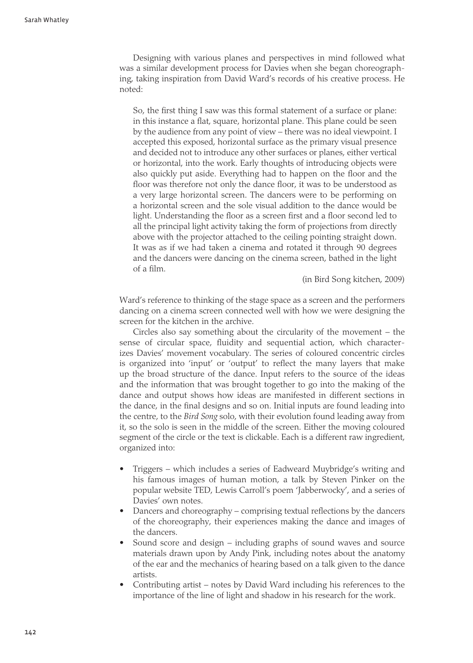Designing with various planes and perspectives in mind followed what was a similar development process for Davies when she began choreographing, taking inspiration from David Ward's records of his creative process. He noted<sup>.</sup>

So, the first thing I saw was this formal statement of a surface or plane: in this instance a flat, square, horizontal plane. This plane could be seen by the audience from any point of view - there was no ideal viewpoint. I accepted this exposed, horizontal surface as the primary visual presence and decided not to introduce any other surfaces or planes, either vertical or horizontal, into the work. Early thoughts of introducing objects were also quickly put aside. Everything had to happen on the floor and the floor was therefore not only the dance floor, it was to be understood as a very large horizontal screen. The dancers were to be performing on a horizontal screen and the sole visual addition to the dance would be light. Understanding the floor as a screen first and a floor second led to all the principal light activity taking the form of projections from directly above with the projector attached to the ceiling pointing straight down. It was as if we had taken a cinema and rotated it through 90 degrees and the dancers were dancing on the cinema screen, bathed in the light of a film.

(in Bird Song kitchen, 2009)

Ward's reference to thinking of the stage space as a screen and the performers dancing on a cinema screen connected well with how we were designing the screen for the kitchen in the archive.

Circles also say something about the circularity of the movement – the sense of circular space, fluidity and sequential action, which characterizes Davies' movement vocabulary. The series of coloured concentric circles is organized into 'input' or 'output' to reflect the many layers that make up the broad structure of the dance. Input refers to the source of the ideas and the information that was brought together to go into the making of the dance and output shows how ideas are manifested in different sections in the dance, in the final designs and so on. Initial inputs are found leading into the centre, to the Bird Song solo, with their evolution found leading away from it, so the solo is seen in the middle of the screen. Either the moving coloured segment of the circle or the text is clickable. Each is a different raw ingredient, organized into:

- Triggers which includes a series of Eadweard Muybridge's writing and his famous images of human motion, a talk by Steven Pinker on the popular website TED, Lewis Carroll's poem 'Jabberwocky', and a series of Davies' own notes.
- Dancers and choreography comprising textual reflections by the dancers of the choreography, their experiences making the dance and images of the dancers.
- Sound score and design including graphs of sound waves and source materials drawn upon by Andy Pink, including notes about the anatomy of the ear and the mechanics of hearing based on a talk given to the dance artists.
- Contributing artist notes by David Ward including his references to the importance of the line of light and shadow in his research for the work.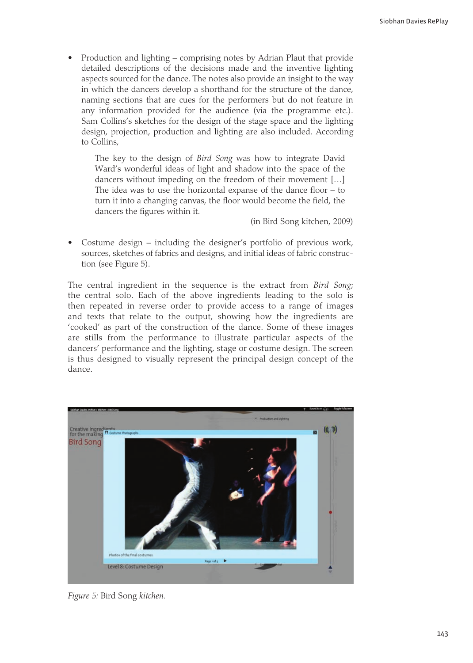Production and lighting – comprising notes by Adrian Plaut that provide detailed descriptions of the decisions made and the inventive lighting aspects sourced for the dance. The notes also provide an insight to the way in which the dancers develop a shorthand for the structure of the dance. naming sections that are cues for the performers but do not feature in any information provided for the audience (via the programme etc.). Sam Collins's sketches for the design of the stage space and the lighting design, projection, production and lighting are also included. According to Collins.

The key to the design of *Bird Song* was how to integrate David Ward's wonderful ideas of light and shadow into the space of the dancers without impeding on the freedom of their movement [...] The idea was to use the horizontal expanse of the dance floor  $-$  to turn it into a changing canvas, the floor would become the field, the dancers the figures within it.

(in Bird Song kitchen, 2009)

Costume design – including the designer's portfolio of previous work, sources, sketches of fabrics and designs, and initial ideas of fabric construction (see Figure 5).

The central ingredient in the sequence is the extract from Bird Song; the central solo. Each of the above ingredients leading to the solo is then repeated in reverse order to provide access to a range of images and texts that relate to the output, showing how the ingredients are 'cooked' as part of the construction of the dance. Some of these images are stills from the performance to illustrate particular aspects of the dancers' performance and the lighting, stage or costume design. The screen is thus designed to visually represent the principal design concept of the dance.



Figure 5: Bird Song kitchen.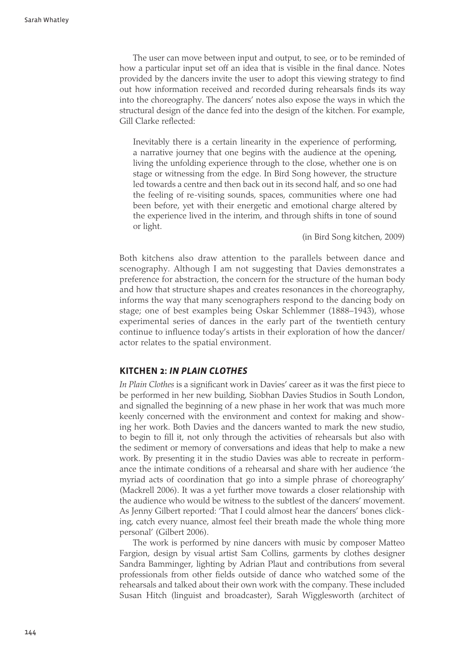The user can move between input and output, to see, or to be reminded of how a particular input set off an idea that is visible in the final dance. Notes provided by the dancers invite the user to adopt this viewing strategy to find out how information received and recorded during rehearsals finds its way into the choreography. The dancers' notes also expose the ways in which the structural design of the dance fed into the design of the kitchen. For example, Gill Clarke reflected:

Inevitably there is a certain linearity in the experience of performing, a narrative journey that one begins with the audience at the opening, living the unfolding experience through to the close, whether one is on stage or witnessing from the edge. In Bird Song however, the structure led towards a centre and then back out in its second half, and so one had the feeling of re-visiting sounds, spaces, communities where one had been before, yet with their energetic and emotional charge altered by the experience lived in the interim, and through shifts in tone of sound or light.

(in Bird Song kitchen, 2009)

Both kitchens also draw attention to the parallels between dance and scenography. Although I am not suggesting that Davies demonstrates a preference for abstraction, the concern for the structure of the human body and how that structure shapes and creates resonances in the choreography, informs the way that many scenographers respond to the dancing body on stage; one of best examples being Oskar Schlemmer (1888–1943), whose experimental series of dances in the early part of the twentieth century continue to influence today's artists in their exploration of how the dancer/ actor relates to the spatial environment.

#### **KITCHEN 2: IN PLAIN CLOTHES**

In Plain Clothes is a significant work in Davies' career as it was the first piece to be performed in her new building, Siobhan Davies Studios in South London, and signalled the beginning of a new phase in her work that was much more keenly concerned with the environment and context for making and showing her work. Both Davies and the dancers wanted to mark the new studio, to begin to fill it, not only through the activities of rehearsals but also with the sediment or memory of conversations and ideas that help to make a new work. By presenting it in the studio Davies was able to recreate in performance the intimate conditions of a rehearsal and share with her audience 'the myriad acts of coordination that go into a simple phrase of choreography (Mackrell 2006). It was a yet further move towards a closer relationship with the audience who would be witness to the subtlest of the dancers' movement. As Jenny Gilbert reported: 'That I could almost hear the dancers' bones clicking, catch every nuance, almost feel their breath made the whole thing more personal' (Gilbert 2006).

The work is performed by nine dancers with music by composer Matteo Fargion, design by visual artist Sam Collins, garments by clothes designer Sandra Bamminger, lighting by Adrian Plaut and contributions from several professionals from other fields outside of dance who watched some of the rehearsals and talked about their own work with the company. These included Susan Hitch (linguist and broadcaster), Sarah Wigglesworth (architect of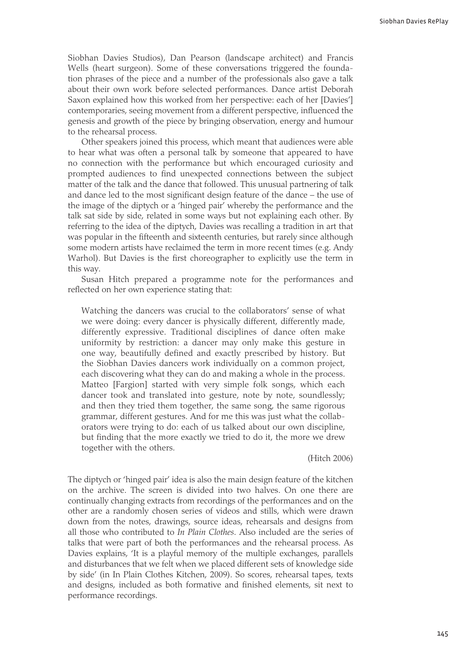Siobhan Davies Studios), Dan Pearson (landscape architect) and Francis Wells (heart surgeon). Some of these conversations triggered the foundation phrases of the piece and a number of the professionals also gave a talk about their own work before selected performances. Dance artist Deborah Saxon explained how this worked from her perspective: each of her [Davies'] contemporaries, seeing movement from a different perspective, influenced the genesis and growth of the piece by bringing observation, energy and humour to the rehearsal process.

Other speakers joined this process, which meant that audiences were able to hear what was often a personal talk by someone that appeared to have no connection with the performance but which encouraged curiosity and prompted audiences to find unexpected connections between the subject matter of the talk and the dance that followed. This unusual partnering of talk and dance led to the most significant design feature of the dance - the use of the image of the diptych or a 'hinged pair' whereby the performance and the talk sat side by side, related in some ways but not explaining each other. By referring to the idea of the diptych, Davies was recalling a tradition in art that was popular in the fifteenth and sixteenth centuries, but rarely since although some modern artists have reclaimed the term in more recent times (e.g. Andy Warhol). But Davies is the first choreographer to explicitly use the term in this way.

Susan Hitch prepared a programme note for the performances and reflected on her own experience stating that:

Watching the dancers was crucial to the collaborators' sense of what we were doing: every dancer is physically different, differently made, differently expressive. Traditional disciplines of dance often make uniformity by restriction: a dancer may only make this gesture in one way, beautifully defined and exactly prescribed by history. But the Siobhan Davies dancers work individually on a common project, each discovering what they can do and making a whole in the process. Matteo [Fargion] started with very simple folk songs, which each dancer took and translated into gesture, note by note, soundlessly; and then they tried them together, the same song, the same rigorous grammar, different gestures. And for me this was just what the collaborators were trying to do: each of us talked about our own discipline, but finding that the more exactly we tried to do it, the more we drew together with the others.

(Hitch 2006)

The diptych or 'hinged pair' idea is also the main design feature of the kitchen on the archive. The screen is divided into two halves. On one there are continually changing extracts from recordings of the performances and on the other are a randomly chosen series of videos and stills, which were drawn down from the notes, drawings, source ideas, rehearsals and designs from all those who contributed to In Plain Clothes. Also included are the series of talks that were part of both the performances and the rehearsal process. As Davies explains, 'It is a playful memory of the multiple exchanges, parallels and disturbances that we felt when we placed different sets of knowledge side by side' (in In Plain Clothes Kitchen, 2009). So scores, rehearsal tapes, texts and designs, included as both formative and finished elements, sit next to performance recordings.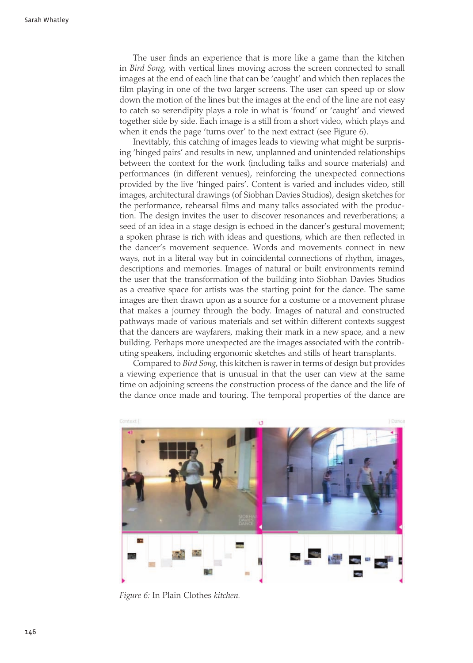The user finds an experience that is more like a game than the kitchen in *Bird Song*, with vertical lines moving across the screen connected to small images at the end of each line that can be 'caught' and which then replaces the film playing in one of the two larger screens. The user can speed up or slow down the motion of the lines but the images at the end of the line are not easy to catch so serendipity plays a role in what is 'found' or 'caught' and viewed together side by side. Each image is a still from a short video, which plays and when it ends the page 'turns over' to the next extract (see Figure 6).

Inevitably, this catching of images leads to viewing what might be surprising 'hinged pairs' and results in new, unplanned and unintended relationships between the context for the work (including talks and source materials) and performances (in different venues), reinforcing the unexpected connections provided by the live 'hinged pairs'. Content is varied and includes video, still images, architectural drawings (of Siobhan Davies Studios), design sketches for the performance, rehearsal films and many talks associated with the production. The design invites the user to discover resonances and reverberations; a seed of an idea in a stage design is echoed in the dancer's gestural movement; a spoken phrase is rich with ideas and questions, which are then reflected in the dancer's movement sequence. Words and movements connect in new ways, not in a literal way but in coincidental connections of rhythm, images, descriptions and memories. Images of natural or built environments remind the user that the transformation of the building into Siobhan Davies Studios as a creative space for artists was the starting point for the dance. The same images are then drawn upon as a source for a costume or a movement phrase that makes a journey through the body. Images of natural and constructed pathways made of various materials and set within different contexts suggest that the dancers are wayfarers, making their mark in a new space, and a new building. Perhaps more unexpected are the images associated with the contributing speakers, including ergonomic sketches and stills of heart transplants.

Compared to Bird Song, this kitchen is rawer in terms of design but provides a viewing experience that is unusual in that the user can view at the same time on adjoining screens the construction process of the dance and the life of the dance once made and touring. The temporal properties of the dance are



Figure 6: In Plain Clothes kitchen.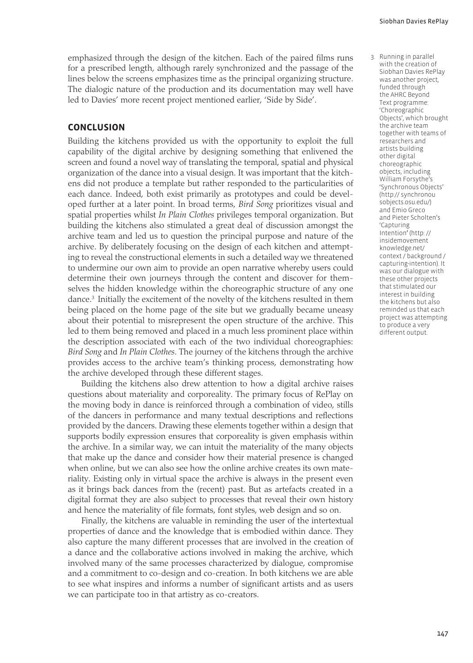emphasized through the design of the kitchen. Each of the paired films runs for a prescribed length, although rarely synchronized and the passage of the lines below the screens emphasizes time as the principal organizing structure. The dialogic nature of the production and its documentation may well have led to Davies' more recent project mentioned earlier, 'Side by Side'.

#### **CONCLUSION**

Building the kitchens provided us with the opportunity to exploit the full capability of the digital archive by designing something that enlivened the screen and found a novel way of translating the temporal, spatial and physical organization of the dance into a visual design. It was important that the kitchens did not produce a template but rather responded to the particularities of each dance. Indeed, both exist primarily as prototypes and could be developed further at a later point. In broad terms, Bird Song prioritizes visual and spatial properties whilst In Plain Clothes privileges temporal organization. But building the kitchens also stimulated a great deal of discussion amongst the archive team and led us to question the principal purpose and nature of the archive. By deliberately focusing on the design of each kitchen and attempting to reveal the constructional elements in such a detailed way we threatened to undermine our own aim to provide an open narrative whereby users could determine their own journeys through the content and discover for themselves the hidden knowledge within the choreographic structure of any one dance.<sup>3</sup> Initially the excitement of the novelty of the kitchens resulted in them being placed on the home page of the site but we gradually became uneasy about their potential to misrepresent the open structure of the archive. This led to them being removed and placed in a much less prominent place within the description associated with each of the two individual choreographies: Bird Song and In Plain Clothes. The journey of the kitchens through the archive provides access to the archive team's thinking process, demonstrating how the archive developed through these different stages.

Building the kitchens also drew attention to how a digital archive raises questions about materiality and corporeality. The primary focus of RePlay on the moving body in dance is reinforced through a combination of video, stills of the dancers in performance and many textual descriptions and reflections provided by the dancers. Drawing these elements together within a design that supports bodily expression ensures that corporeality is given emphasis within the archive. In a similar way, we can intuit the materiality of the many objects that make up the dance and consider how their material presence is changed when online, but we can also see how the online archive creates its own materiality. Existing only in virtual space the archive is always in the present even as it brings back dances from the (recent) past. But as artefacts created in a digital format they are also subject to processes that reveal their own history and hence the materiality of file formats, font styles, web design and so on.

Finally, the kitchens are valuable in reminding the user of the intertextual properties of dance and the knowledge that is embodied within dance. They also capture the many different processes that are involved in the creation of a dance and the collaborative actions involved in making the archive, which involved many of the same processes characterized by dialogue, compromise and a commitment to co-design and co-creation. In both kitchens we are able to see what inspires and informs a number of significant artists and as users we can participate too in that artistry as co-creators.

3. Running in parallel with the creation of Siobhan Davies RePlay was another project, funded through the AHRC Bevond Text programme: 'Choreographic Objects' which brought the archive team together with teams of researchers and artists building other digital choreographic objects, including William Forsythe's 'Synchronous Objects' (http:// synchronou sobiects.osu.edu/) and Emio Greco and Pieter Scholten's 'Capturing Intention<sup>7</sup>(http:// insidemovement knowledge.net/ context / background / capturing-intention). It was our dialogue with these other projects that stimulated our interest in building the kitchens but also reminded us that each project was attempting to produce a very different output.